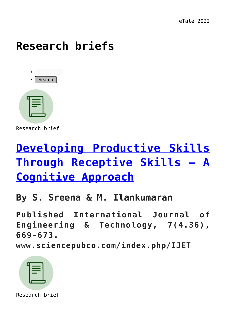#### **[Research briefs](https://dev.taleafrica.com/support-materials/material-library/)**



Research brief

## **[Developing Productive Skills](https://dev.taleafrica.com/2022/06/13/developing-productive-skills-through-receptive-skills-a-cognitive-approach/) [Through Receptive Skills – A](https://dev.taleafrica.com/2022/06/13/developing-productive-skills-through-receptive-skills-a-cognitive-approach/) [Cognitive Approach](https://dev.taleafrica.com/2022/06/13/developing-productive-skills-through-receptive-skills-a-cognitive-approach/)**

#### **By S. Sreena & M. Ilankumaran**

**Published International Journal of Engineering & Technology, 7(4.36), 669-673.**

**www.sciencepubco.com/index.php/IJET**



Research brief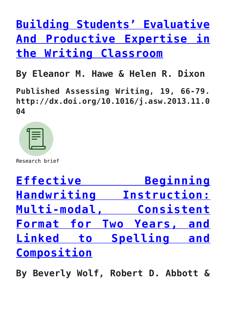## **[Building Students' Evaluative](https://dev.taleafrica.com/2022/01/03/building-students-evaluative-and-productive-expertise-in-the-writing-classroom/) [And Productive Expertise in](https://dev.taleafrica.com/2022/01/03/building-students-evaluative-and-productive-expertise-in-the-writing-classroom/) [the Writing Classroom](https://dev.taleafrica.com/2022/01/03/building-students-evaluative-and-productive-expertise-in-the-writing-classroom/)**

**By Eleanor M. Hawe & Helen R. Dixon**

**Published Assessing Writing, 19, 66-79. http://dx.doi.org/10.1016/j.asw.2013.11.0 04**

Research brief

**[Effective Beginning](https://dev.taleafrica.com/2021/12/28/literacy-and-child-development-in-a-contemporary-african-society/) [Handwriting Instruction:](https://dev.taleafrica.com/2021/12/28/literacy-and-child-development-in-a-contemporary-african-society/) [Multi-modal, Consistent](https://dev.taleafrica.com/2021/12/28/literacy-and-child-development-in-a-contemporary-african-society/) [Format for Two Years, and](https://dev.taleafrica.com/2021/12/28/literacy-and-child-development-in-a-contemporary-african-society/) [Linked to Spelling and](https://dev.taleafrica.com/2021/12/28/literacy-and-child-development-in-a-contemporary-african-society/) [Composition](https://dev.taleafrica.com/2021/12/28/literacy-and-child-development-in-a-contemporary-african-society/)**

**By Beverly Wolf, Robert D. Abbott &**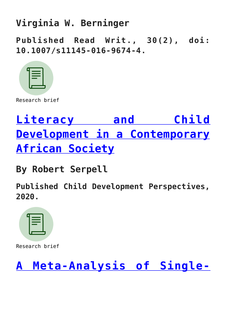#### **Virginia W. Berninger**

**Published Read Writ., 30(2), doi: 10.1007/s11145-016-9674-4.**



Research brief

# **[Literacy and Child](https://dev.taleafrica.com/2021/12/28/task-focused-behaviour-and-literacy-development-a-reciprocal-relationship-3/) [Development in a Contemporary](https://dev.taleafrica.com/2021/12/28/task-focused-behaviour-and-literacy-development-a-reciprocal-relationship-3/) [African Society](https://dev.taleafrica.com/2021/12/28/task-focused-behaviour-and-literacy-development-a-reciprocal-relationship-3/)**

**By Robert Serpell**

**Published Child Development Perspectives, 2020.**



Research brief

#### **[A Meta-Analysis of Single-](https://dev.taleafrica.com/2021/12/28/task-focused-behaviour-and-literacy-development-a-reciprocal-relationship-2/)**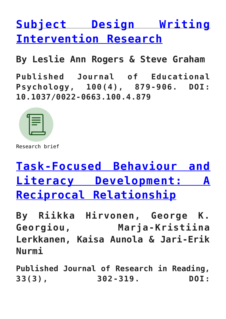### **[Subject Design Writing](https://dev.taleafrica.com/2021/12/28/task-focused-behaviour-and-literacy-development-a-reciprocal-relationship-2/) [Intervention Research](https://dev.taleafrica.com/2021/12/28/task-focused-behaviour-and-literacy-development-a-reciprocal-relationship-2/)**

**By Leslie Ann Rogers & Steve Graham**

**Published Journal of Educational Psychology, 100(4), 879-906. DOI: 10.1037/0022-0663.100.4.879**



Research brief

### **[Task-Focused Behaviour and](https://dev.taleafrica.com/2021/12/28/task-focused-behaviour-and-literacy-development-a-reciprocal-relationship/) [Literacy Development: A](https://dev.taleafrica.com/2021/12/28/task-focused-behaviour-and-literacy-development-a-reciprocal-relationship/) [Reciprocal Relationship](https://dev.taleafrica.com/2021/12/28/task-focused-behaviour-and-literacy-development-a-reciprocal-relationship/)**

**By Riikka Hirvonen, George K. Georgiou, Marja-Kristiina Lerkkanen, Kaisa Aunola & Jari-Erik Nurmi**

**Published Journal of Research in Reading, 33(3), 302-319. DOI:**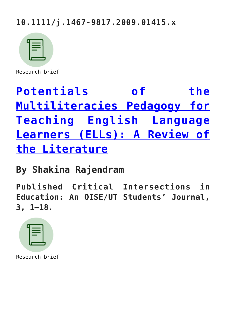#### **10.1111/j.1467-9817.2009.01415.x**



Research brief

## **[Potentials of the](https://dev.taleafrica.com/2021/07/29/potentials-of-the-multiliteracies-pedagogy-for-teaching-english-language-learners-ells-a-review-of-the-literature/) [Multiliteracies Pedagogy for](https://dev.taleafrica.com/2021/07/29/potentials-of-the-multiliteracies-pedagogy-for-teaching-english-language-learners-ells-a-review-of-the-literature/) [Teaching English Language](https://dev.taleafrica.com/2021/07/29/potentials-of-the-multiliteracies-pedagogy-for-teaching-english-language-learners-ells-a-review-of-the-literature/) [Learners \(ELLs\): A Review of](https://dev.taleafrica.com/2021/07/29/potentials-of-the-multiliteracies-pedagogy-for-teaching-english-language-learners-ells-a-review-of-the-literature/) [the Literature](https://dev.taleafrica.com/2021/07/29/potentials-of-the-multiliteracies-pedagogy-for-teaching-english-language-learners-ells-a-review-of-the-literature/)**

**By Shakina Rajendram**

**Published Critical Intersections in Education: An OISE/UT Students' Journal, 3, 1–18.**

Research brief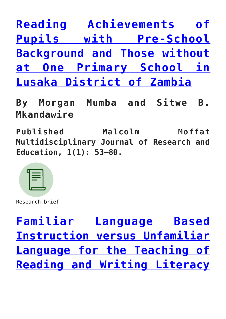**[Reading Achievements of](https://dev.taleafrica.com/2021/07/29/reading-achievements-of-pupils-with-pre-school-background-and-those-without-at-one-primary-school-in-lusaka-district-of-zambia/) [Pupils with Pre-School](https://dev.taleafrica.com/2021/07/29/reading-achievements-of-pupils-with-pre-school-background-and-those-without-at-one-primary-school-in-lusaka-district-of-zambia/) [Background and Those without](https://dev.taleafrica.com/2021/07/29/reading-achievements-of-pupils-with-pre-school-background-and-those-without-at-one-primary-school-in-lusaka-district-of-zambia/) [at One Primary School in](https://dev.taleafrica.com/2021/07/29/reading-achievements-of-pupils-with-pre-school-background-and-those-without-at-one-primary-school-in-lusaka-district-of-zambia/) [Lusaka District of Zambia](https://dev.taleafrica.com/2021/07/29/reading-achievements-of-pupils-with-pre-school-background-and-those-without-at-one-primary-school-in-lusaka-district-of-zambia/)**

**By Morgan Mumba and Sitwe B. Mkandawire**

**Published Malcolm Moffat Multidisciplinary Journal of Research and Education, 1(1): 53–80.**



Research brief

**[Familiar Language Based](https://dev.taleafrica.com/2021/07/29/familiar-language-based-instruction-versus-unfamiliar-language-for-the-teaching-of-reading-and-writing-literacy-skills-a-focus-on-zambian-languages-and-english-at-two-primary-schools-in-lusaka/) [Instruction versus Unfamiliar](https://dev.taleafrica.com/2021/07/29/familiar-language-based-instruction-versus-unfamiliar-language-for-the-teaching-of-reading-and-writing-literacy-skills-a-focus-on-zambian-languages-and-english-at-two-primary-schools-in-lusaka/) [Language for the Teaching of](https://dev.taleafrica.com/2021/07/29/familiar-language-based-instruction-versus-unfamiliar-language-for-the-teaching-of-reading-and-writing-literacy-skills-a-focus-on-zambian-languages-and-english-at-two-primary-schools-in-lusaka/) [Reading and Writing Literacy](https://dev.taleafrica.com/2021/07/29/familiar-language-based-instruction-versus-unfamiliar-language-for-the-teaching-of-reading-and-writing-literacy-skills-a-focus-on-zambian-languages-and-english-at-two-primary-schools-in-lusaka/)**